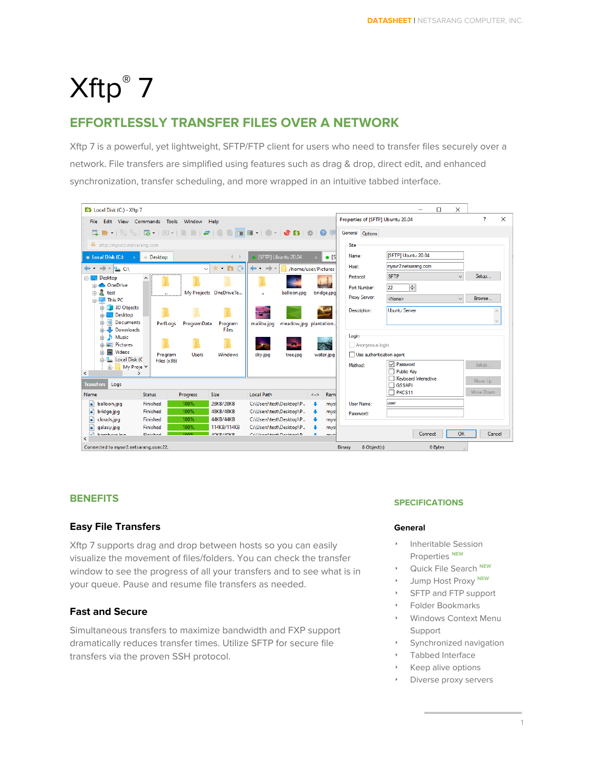# Xftp ® 7

# **EFFORTLESSLY TRANSFER FILES OVER A NETWORK**

Xftp 7 is a powerful, yet lightweight, SFTP/FTP client for users who need to transfer files securely over a network. File transfers are simplified using features such as drag & drop, direct edit, and enhanced synchronization, transfer scheduling, and more wrapped in an intuitive tabbed interface.



#### **BENEFITS**

#### **Easy File Transfers**

Xftp 7 supports drag and drop between hosts so you can easily visualize the movement of files/folders. You can check the transfer window to see the progress of all your transfers and to see what is in your queue. Pause and resume file transfers as needed.

#### **Fast and Secure**

Simultaneous transfers to maximize bandwidth and FXP support dramatically reduces transfer times. Utilize SFTP for secure file transfers via the proven SSH protocol.

#### **SPECIFICATIONS**

#### **General**

- ‣ Inheritable Session Properties **NEW**
- ‣ Quick File Search **NEW**
- ‣ Jump Host Proxy **NEW**
- SFTP and FTP support
- ‣ Folder Bookmarks
- ‣ Windows Context Menu Support
- Synchronized navigation
- Tabbed Interface
- ‣ Keep alive options
- Diverse proxy servers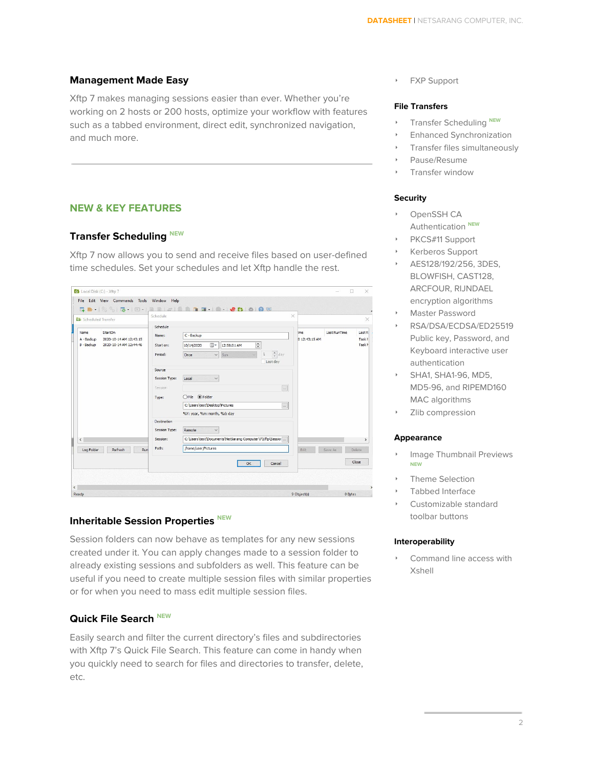#### **Management Made Easy**

Xftp 7 makes managing sessions easier than ever. Whether you're working on 2 hosts or 200 hosts, optimize your workflow with features such as a tabbed environment, direct edit, synchronized navigation, and much more.

#### **NEW & KEY FEATURES**

#### **Transfer Scheduling NEW**

Xftp 7 now allows you to send and receive files based on user-defined time schedules. Set your schedules and let Xftp handle the rest.

| Scheduled Transfer                                                                                     | Schedule                                                   | $\times$                                                                                                                 |                               |                     | $\times$                              |
|--------------------------------------------------------------------------------------------------------|------------------------------------------------------------|--------------------------------------------------------------------------------------------------------------------------|-------------------------------|---------------------|---------------------------------------|
| <b>Name</b><br>StartOn<br>2020-10-14 AM 12:43:15<br>A - Backup<br>B - Backup<br>2020-10-14 AM 12:44:46 | Schedule<br>C - Backup<br>Name:<br>Start on:<br>10/14/2020 | $\frac{1}{\tau}$<br>u-<br>12:58:01 AM                                                                                    | <b>l</b> ime<br>0 12:43:15 AM | <b>Last RunTime</b> | Last <sub>R</sub><br>Task h<br>Task h |
|                                                                                                        | Period:<br>Once                                            | $\frac{4}{7}$ day<br>Sun<br>$\checkmark$<br>$\vee$<br>Last day                                                           |                               |                     |                                       |
|                                                                                                        | Source<br>Session Type:<br>Local<br>Session:<br>Type:      | $\checkmark$<br>$\ldots$<br>○File ● Folder<br>C:\Users\test\Desktop\Pictures<br>$\cdots$<br>%Y: year, %m: month, %d: day |                               |                     |                                       |
| $\hat{C}$                                                                                              | Destination<br>Session Type:<br>Remote<br>Session:         | $\checkmark$<br>C:\Users\test\Documents\NetSarang Computer\7\Xftp\Sessior                                                |                               |                     | $\rightarrow$                         |
| Refresh<br>Log Folder<br>Run                                                                           | Path:                                                      | /home/user/Pictures                                                                                                      | Edit                          | Save As             | Delete                                |
|                                                                                                        |                                                            | Cancel<br>OK                                                                                                             |                               |                     | Close                                 |

#### **Inheritable Session Properties NEW**

Session folders can now behave as templates for any new sessions created under it. You can apply changes made to a session folder to already existing sessions and subfolders as well. This feature can be useful if you need to create multiple session files with similar properties or for when you need to mass edit multiple session files.

#### **Quick File Search NEW**

Easily search and filter the current directory's files and subdirectories with Xftp 7's Quick File Search. This feature can come in handy when you quickly need to search for files and directories to transfer, delete, etc.

‣ FXP Support

#### **File Transfers**

- **EXECUTE:** Transfer Scheduling NEW
- ‣ Enhanced Synchronization
- ‣ Transfer files simultaneously
- ‣ Pause/Resume
- Transfer window

#### **Security**

- OpenSSH CA Authentication **NEW**
- PKCS#11 Support
- ‣ Kerberos Support
- ‣ AES128/192/256, 3DES, BLOWFISH, CAST128, ARCFOUR, RIJNDAEL encryption algorithms
- ‣ Master Password
- ‣ RSA/DSA/ECDSA/ED25519 Public key, Password, and Keyboard interactive user authentication
- SHA1, SHA1-96, MD5, MD5-96, and RIPEMD160 MAC algorithms
- Zlib compression

#### **Appearance**

- ‣ Image Thumbnail Previews **NEW**
- ‣ Theme Selection
- Tabbed Interface
- ‣ Customizable standard toolbar buttons

#### **Interoperability**

‣ Command line access with Xshell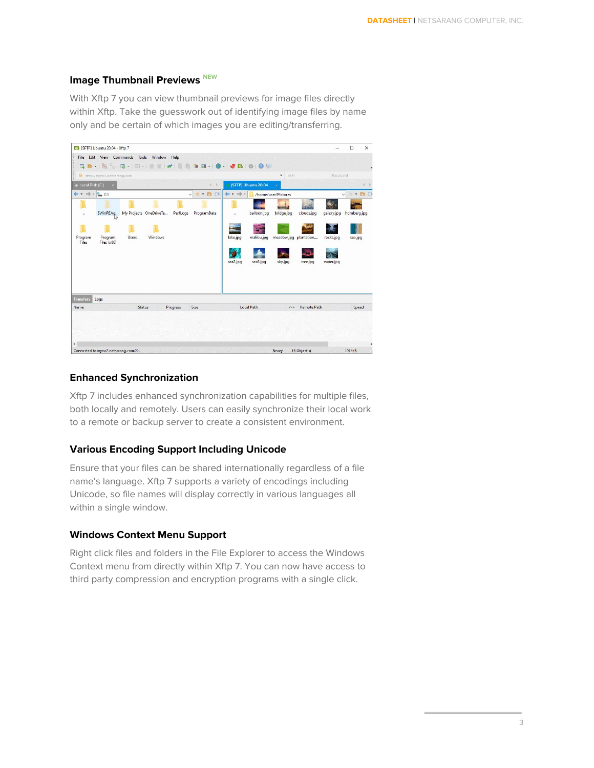## **Image Thumbnail Previews NEW**

With Xftp 7 you can view thumbnail previews for image files directly within Xftp. Take the guesswork out of identifying image files by name only and be certain of which images you are editing/transferring.

| <b>D</b> [SFTP] Ubuntu 20.04 - Xftp 7                                                   |                                                                                                |                        | $\times$<br>$\Box$                      |
|-----------------------------------------------------------------------------------------|------------------------------------------------------------------------------------------------|------------------------|-----------------------------------------|
| File Edit View Commands Tools Window Help                                               |                                                                                                |                        |                                         |
|                                                                                         |                                                                                                |                        |                                         |
| sftp://mysvr2.netsarang.com                                                             | $\star$<br>user.                                                                               |                        | Password                                |
| Local Disk (C:)<br>$4 +$<br>$\propto$                                                   | [SFTP] Ubuntu 20.04                                                                            |                        | 4 ト                                     |
| $\leftarrow$ $\rightarrow$ $\leftarrow$ $\sim$ CA<br>$-\pm$ $\frac{1}{2}$ $\rightarrow$ | $\leftarrow$ . $\rightarrow$ .<br>/home/user/Pictures                                          |                        | $\pm$ - $\Box$ $\Theta$<br>$\checkmark$ |
| SWinREAg My Projects OneDriveTe<br>PerfLogs<br>ProgramData<br>×.                        | balloon.jpg<br>bridge.jpg<br>clouds.jpg<br>à.                                                  | galaxy.jpg             | homberg.jpg                             |
| Program<br>Program<br><b>Users</b><br>Windows<br>Files<br>Files (x86)                   | malibu.jpg<br>meadow.jpg plantation<br>lake.jpg<br>sea3.jpg<br>sea2.jpg<br>sky.jpg<br>tree.jpg | rocks.jpg<br>water.jpg | sea.jpg                                 |
| <b>Transfers</b><br>Logs<br>Status<br>Size<br>Name<br>Progress                          | <b>Local Path</b><br><b>Remote Path</b><br>$\langle - \rangle$                                 |                        | Speed                                   |
| $\epsilon$<br>Connected to mysvr2.netsarang.com:22.                                     | Binary<br>16 Object(s)                                                                         |                        | $\rightarrow$<br>1014KB                 |

#### **Enhanced Synchronization**

Xftp 7 includes enhanced synchronization capabilities for multiple files, both locally and remotely. Users can easily synchronize their local work to a remote or backup server to create a consistent environment.

#### **Various Encoding Support Including Unicode**

Ensure that your files can be shared internationally regardless of a file name's language. Xftp 7 supports a variety of encodings including Unicode, so file names will display correctly in various languages all within a single window.

#### **Windows Context Menu Support**

Right click files and folders in the File Explorer to access the Windows Context menu from directly within Xftp 7. You can now have access to third party compression and encryption programs with a single click.